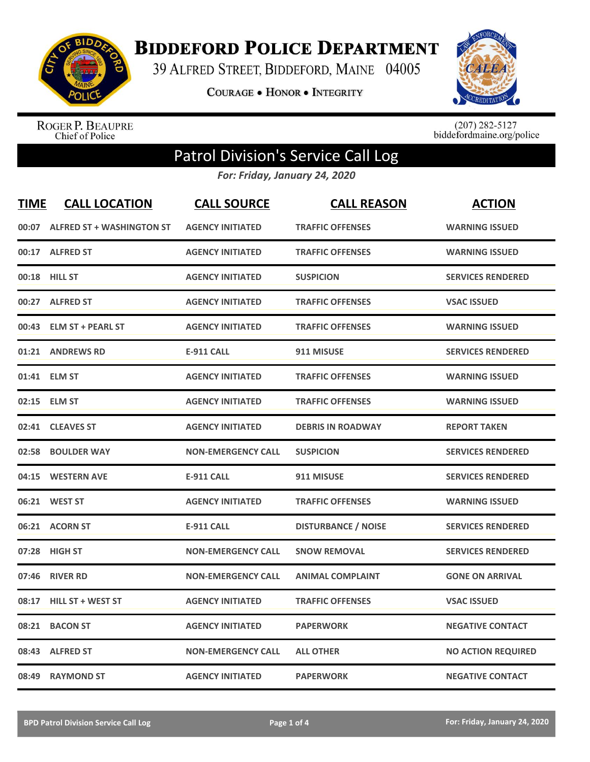

**BIDDEFORD POLICE DEPARTMENT** 

39 ALFRED STREET, BIDDEFORD, MAINE 04005

**COURAGE . HONOR . INTEGRITY** 



ROGER P. BEAUPRE<br>Chief of Police

 $(207)$  282-5127<br>biddefordmaine.org/police

## Patrol Division's Service Call Log

*For: Friday, January 24, 2020*

| <b>TIME</b> | <b>CALL LOCATION</b>             | <b>CALL SOURCE</b>        | <b>CALL REASON</b>         | <b>ACTION</b>             |
|-------------|----------------------------------|---------------------------|----------------------------|---------------------------|
| 00:07       | <b>ALFRED ST + WASHINGTON ST</b> | <b>AGENCY INITIATED</b>   | <b>TRAFFIC OFFENSES</b>    | <b>WARNING ISSUED</b>     |
|             | 00:17 ALFRED ST                  | <b>AGENCY INITIATED</b>   | <b>TRAFFIC OFFENSES</b>    | <b>WARNING ISSUED</b>     |
|             | 00:18 HILL ST                    | <b>AGENCY INITIATED</b>   | <b>SUSPICION</b>           | <b>SERVICES RENDERED</b>  |
| 00:27       | <b>ALFRED ST</b>                 | <b>AGENCY INITIATED</b>   | <b>TRAFFIC OFFENSES</b>    | <b>VSAC ISSUED</b>        |
| 00:43       | <b>ELM ST + PEARL ST</b>         | <b>AGENCY INITIATED</b>   | <b>TRAFFIC OFFENSES</b>    | <b>WARNING ISSUED</b>     |
| 01:21       | <b>ANDREWS RD</b>                | <b>E-911 CALL</b>         | 911 MISUSE                 | <b>SERVICES RENDERED</b>  |
|             | 01:41 ELM ST                     | <b>AGENCY INITIATED</b>   | <b>TRAFFIC OFFENSES</b>    | <b>WARNING ISSUED</b>     |
| 02:15       | <b>ELM ST</b>                    | <b>AGENCY INITIATED</b>   | <b>TRAFFIC OFFENSES</b>    | <b>WARNING ISSUED</b>     |
| 02:41       | <b>CLEAVES ST</b>                | <b>AGENCY INITIATED</b>   | <b>DEBRIS IN ROADWAY</b>   | <b>REPORT TAKEN</b>       |
| 02:58       | <b>BOULDER WAY</b>               | <b>NON-EMERGENCY CALL</b> | <b>SUSPICION</b>           | <b>SERVICES RENDERED</b>  |
| 04:15       | <b>WESTERN AVE</b>               | <b>E-911 CALL</b>         | 911 MISUSE                 | <b>SERVICES RENDERED</b>  |
|             | 06:21 WEST ST                    | <b>AGENCY INITIATED</b>   | <b>TRAFFIC OFFENSES</b>    | <b>WARNING ISSUED</b>     |
|             | 06:21 ACORN ST                   | <b>E-911 CALL</b>         | <b>DISTURBANCE / NOISE</b> | <b>SERVICES RENDERED</b>  |
| 07:28       | <b>HIGH ST</b>                   | <b>NON-EMERGENCY CALL</b> | <b>SNOW REMOVAL</b>        | <b>SERVICES RENDERED</b>  |
| 07:46       | <b>RIVER RD</b>                  | <b>NON-EMERGENCY CALL</b> | <b>ANIMAL COMPLAINT</b>    | <b>GONE ON ARRIVAL</b>    |
| 08:17       | <b>HILL ST + WEST ST</b>         | <b>AGENCY INITIATED</b>   | <b>TRAFFIC OFFENSES</b>    | <b>VSAC ISSUED</b>        |
| 08:21       | <b>BACON ST</b>                  | <b>AGENCY INITIATED</b>   | <b>PAPERWORK</b>           | <b>NEGATIVE CONTACT</b>   |
| 08:43       | <b>ALFRED ST</b>                 | <b>NON-EMERGENCY CALL</b> | <b>ALL OTHER</b>           | <b>NO ACTION REQUIRED</b> |
| 08:49       | <b>RAYMOND ST</b>                | <b>AGENCY INITIATED</b>   | <b>PAPERWORK</b>           | <b>NEGATIVE CONTACT</b>   |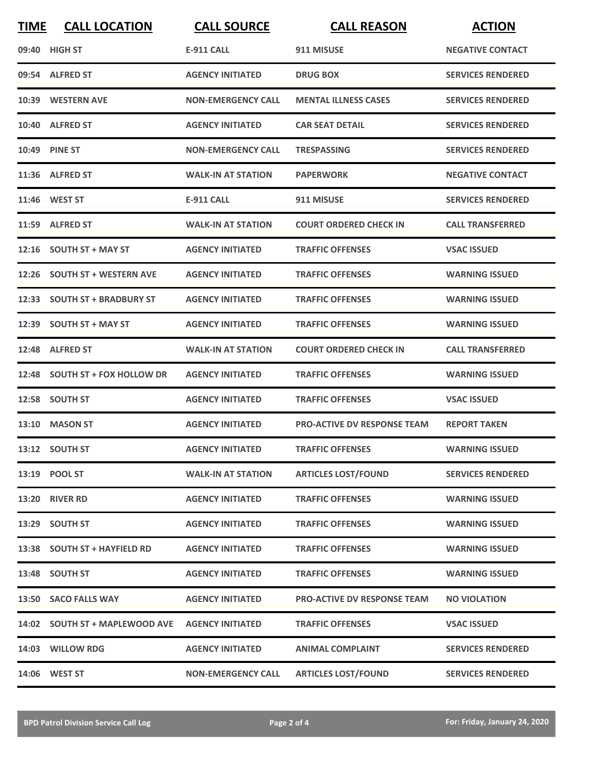| <b>TIME</b> | <b>CALL LOCATION</b>           | <b>CALL SOURCE</b>        | <b>CALL REASON</b>            | <b>ACTION</b>            |
|-------------|--------------------------------|---------------------------|-------------------------------|--------------------------|
|             | 09:40 HIGH ST                  | <b>E-911 CALL</b>         | 911 MISUSE                    | <b>NEGATIVE CONTACT</b>  |
|             | 09:54 ALFRED ST                | <b>AGENCY INITIATED</b>   | <b>DRUG BOX</b>               | <b>SERVICES RENDERED</b> |
|             | 10:39 WESTERN AVE              | <b>NON-EMERGENCY CALL</b> | <b>MENTAL ILLNESS CASES</b>   | <b>SERVICES RENDERED</b> |
|             | 10:40 ALFRED ST                | <b>AGENCY INITIATED</b>   | <b>CAR SEAT DETAIL</b>        | <b>SERVICES RENDERED</b> |
|             | 10:49 PINE ST                  | <b>NON-EMERGENCY CALL</b> | <b>TRESPASSING</b>            | <b>SERVICES RENDERED</b> |
|             | 11:36 ALFRED ST                | <b>WALK-IN AT STATION</b> | <b>PAPERWORK</b>              | <b>NEGATIVE CONTACT</b>  |
|             | 11:46 WEST ST                  | <b>E-911 CALL</b>         | 911 MISUSE                    | <b>SERVICES RENDERED</b> |
|             | 11:59 ALFRED ST                | <b>WALK-IN AT STATION</b> | <b>COURT ORDERED CHECK IN</b> | <b>CALL TRANSFERRED</b>  |
|             | $12:16$ SOUTH ST + MAY ST      | <b>AGENCY INITIATED</b>   | <b>TRAFFIC OFFENSES</b>       | <b>VSAC ISSUED</b>       |
|             | 12:26 SOUTH ST + WESTERN AVE   | <b>AGENCY INITIATED</b>   | <b>TRAFFIC OFFENSES</b>       | <b>WARNING ISSUED</b>    |
|             | 12:33 SOUTH ST + BRADBURY ST   | <b>AGENCY INITIATED</b>   | <b>TRAFFIC OFFENSES</b>       | <b>WARNING ISSUED</b>    |
|             | 12:39 SOUTH ST + MAY ST        | <b>AGENCY INITIATED</b>   | <b>TRAFFIC OFFENSES</b>       | <b>WARNING ISSUED</b>    |
|             | 12:48 ALFRED ST                | <b>WALK-IN AT STATION</b> | <b>COURT ORDERED CHECK IN</b> | <b>CALL TRANSFERRED</b>  |
|             | 12:48 SOUTH ST + FOX HOLLOW DR | <b>AGENCY INITIATED</b>   | <b>TRAFFIC OFFENSES</b>       | <b>WARNING ISSUED</b>    |
|             | 12:58 SOUTH ST                 | <b>AGENCY INITIATED</b>   | <b>TRAFFIC OFFENSES</b>       | <b>VSAC ISSUED</b>       |
|             | 13:10 MASON ST                 | <b>AGENCY INITIATED</b>   | PRO-ACTIVE DV RESPONSE TEAM   | <b>REPORT TAKEN</b>      |
|             | 13:12 SOUTH ST                 | <b>AGENCY INITIATED</b>   | <b>TRAFFIC OFFENSES</b>       | <b>WARNING ISSUED</b>    |
|             | 13:19 POOL ST                  | <b>WALK-IN AT STATION</b> | <b>ARTICLES LOST/FOUND</b>    | <b>SERVICES RENDERED</b> |
|             | 13:20 RIVER RD                 | <b>AGENCY INITIATED</b>   | <b>TRAFFIC OFFENSES</b>       | <b>WARNING ISSUED</b>    |
|             | 13:29 SOUTH ST                 | <b>AGENCY INITIATED</b>   | <b>TRAFFIC OFFENSES</b>       | <b>WARNING ISSUED</b>    |
|             | 13:38 SOUTH ST + HAYFIELD RD   | <b>AGENCY INITIATED</b>   | <b>TRAFFIC OFFENSES</b>       | <b>WARNING ISSUED</b>    |
|             | 13:48 SOUTH ST                 | <b>AGENCY INITIATED</b>   | <b>TRAFFIC OFFENSES</b>       | <b>WARNING ISSUED</b>    |
|             | 13:50 SACO FALLS WAY           | <b>AGENCY INITIATED</b>   | PRO-ACTIVE DV RESPONSE TEAM   | <b>NO VIOLATION</b>      |
|             | 14:02 SOUTH ST + MAPLEWOOD AVE | <b>AGENCY INITIATED</b>   | <b>TRAFFIC OFFENSES</b>       | <b>VSAC ISSUED</b>       |
|             | 14:03 WILLOW RDG               | <b>AGENCY INITIATED</b>   | <b>ANIMAL COMPLAINT</b>       | <b>SERVICES RENDERED</b> |
|             | 14:06 WEST ST                  | <b>NON-EMERGENCY CALL</b> | <b>ARTICLES LOST/FOUND</b>    | <b>SERVICES RENDERED</b> |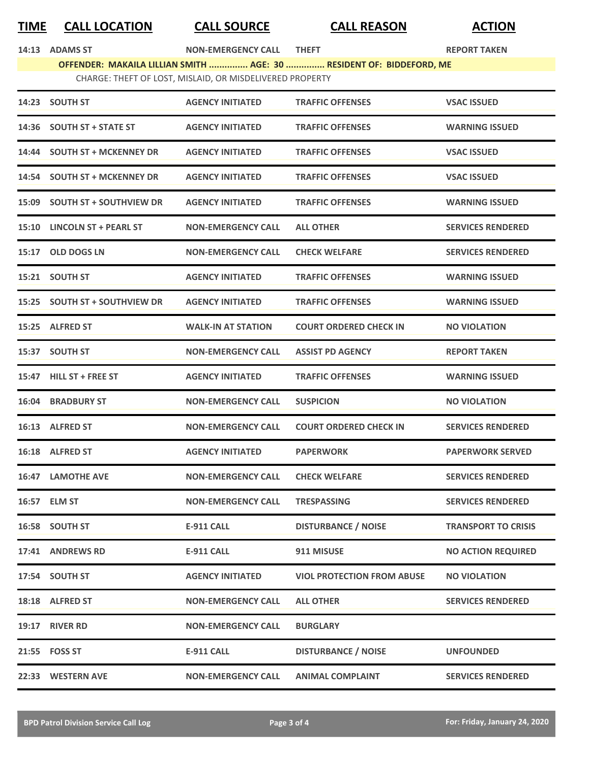| TIME  | <b>CALL LOCATION</b>          | <b>CALL SOURCE</b>                                       | <b>CALL REASON</b>                                                   | <b>ACTION</b>              |
|-------|-------------------------------|----------------------------------------------------------|----------------------------------------------------------------------|----------------------------|
| 14:13 | <b>ADAMS ST</b>               | <b>NON-EMERGENCY CALL</b>                                | <b>THEFT</b>                                                         | <b>REPORT TAKEN</b>        |
|       |                               |                                                          | OFFENDER: MAKAILA LILLIAN SMITH  AGE: 30  RESIDENT OF: BIDDEFORD, ME |                            |
|       |                               | CHARGE: THEFT OF LOST, MISLAID, OR MISDELIVERED PROPERTY |                                                                      |                            |
|       | 14:23 SOUTH ST                | <b>AGENCY INITIATED</b>                                  | <b>TRAFFIC OFFENSES</b>                                              | <b>VSAC ISSUED</b>         |
|       | 14:36 SOUTH ST + STATE ST     | <b>AGENCY INITIATED</b>                                  | <b>TRAFFIC OFFENSES</b>                                              | <b>WARNING ISSUED</b>      |
|       | 14:44 SOUTH ST + MCKENNEY DR  | <b>AGENCY INITIATED</b>                                  | <b>TRAFFIC OFFENSES</b>                                              | <b>VSAC ISSUED</b>         |
|       | 14:54 SOUTH ST + MCKENNEY DR  | <b>AGENCY INITIATED</b>                                  | <b>TRAFFIC OFFENSES</b>                                              | <b>VSAC ISSUED</b>         |
|       | 15:09 SOUTH ST + SOUTHVIEW DR | <b>AGENCY INITIATED</b>                                  | <b>TRAFFIC OFFENSES</b>                                              | <b>WARNING ISSUED</b>      |
|       | 15:10 LINCOLN ST + PEARL ST   | <b>NON-EMERGENCY CALL</b>                                | <b>ALL OTHER</b>                                                     | <b>SERVICES RENDERED</b>   |
| 15:17 | <b>OLD DOGS LN</b>            | <b>NON-EMERGENCY CALL</b>                                | <b>CHECK WELFARE</b>                                                 | <b>SERVICES RENDERED</b>   |
| 15:21 | <b>SOUTH ST</b>               | <b>AGENCY INITIATED</b>                                  | <b>TRAFFIC OFFENSES</b>                                              | <b>WARNING ISSUED</b>      |
|       | 15:25 SOUTH ST + SOUTHVIEW DR | <b>AGENCY INITIATED</b>                                  | <b>TRAFFIC OFFENSES</b>                                              | <b>WARNING ISSUED</b>      |
|       | 15:25 ALFRED ST               | <b>WALK-IN AT STATION</b>                                | <b>COURT ORDERED CHECK IN</b>                                        | <b>NO VIOLATION</b>        |
| 15:37 | <b>SOUTH ST</b>               | <b>NON-EMERGENCY CALL</b>                                | <b>ASSIST PD AGENCY</b>                                              | <b>REPORT TAKEN</b>        |
|       | 15:47 HILL ST + FREE ST       | <b>AGENCY INITIATED</b>                                  | <b>TRAFFIC OFFENSES</b>                                              | <b>WARNING ISSUED</b>      |
|       | <b>16:04 BRADBURY ST</b>      | <b>NON-EMERGENCY CALL</b>                                | <b>SUSPICION</b>                                                     | <b>NO VIOLATION</b>        |
|       | 16:13 ALFRED ST               | <b>NON-EMERGENCY CALL</b>                                | <b>COURT ORDERED CHECK IN</b>                                        | <b>SERVICES RENDERED</b>   |
|       | 16:18 ALFRED ST               | <b>AGENCY INITIATED</b>                                  | <b>PAPERWORK</b>                                                     | <b>PAPERWORK SERVED</b>    |
|       | <b>16:47 LAMOTHE AVE</b>      | <b>NON-EMERGENCY CALL</b>                                | <b>CHECK WELFARE</b>                                                 | <b>SERVICES RENDERED</b>   |
|       | 16:57 ELM ST                  | <b>NON-EMERGENCY CALL</b>                                | <b>TRESPASSING</b>                                                   | <b>SERVICES RENDERED</b>   |
|       | 16:58 SOUTH ST                | <b>E-911 CALL</b>                                        | <b>DISTURBANCE / NOISE</b>                                           | <b>TRANSPORT TO CRISIS</b> |
|       | 17:41 ANDREWS RD              | <b>E-911 CALL</b>                                        | 911 MISUSE                                                           | <b>NO ACTION REQUIRED</b>  |
| 17:54 | <b>SOUTH ST</b>               | <b>AGENCY INITIATED</b>                                  | <b>VIOL PROTECTION FROM ABUSE</b>                                    | <b>NO VIOLATION</b>        |
|       | 18:18 ALFRED ST               | <b>NON-EMERGENCY CALL</b>                                | <b>ALL OTHER</b>                                                     | <b>SERVICES RENDERED</b>   |
|       | 19:17 RIVER RD                | <b>NON-EMERGENCY CALL</b>                                | <b>BURGLARY</b>                                                      |                            |

**21:55 FOSS ST E-911 CALL DISTURBANCE / NOISE UNFOUNDED**